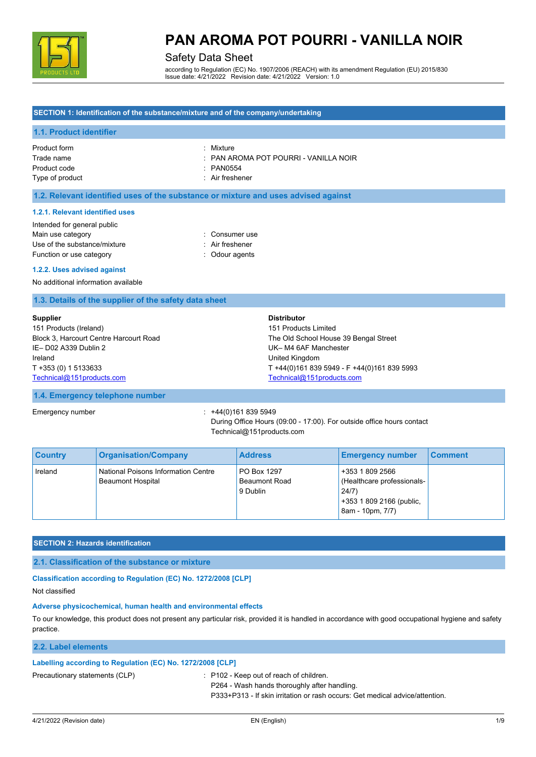

## Safety Data Sheet

according to Regulation (EC) No. 1907/2006 (REACH) with its amendment Regulation (EU) 2015/830 Issue date: 4/21/2022 Revision date: 4/21/2022 Version: 1.0

## **SECTION 1: Identification of the substance/mixture and of the company/undertaking**

## **1.1. Product identifier**

Product form : Nixture : Nixture Product code : PAN0554 Type of product in the set of the set of the set of the set of the set of the set of the set of the set of the set of the set of the set of the set of the set of the set of the set of the set of the set of the set of the s

Trade name : PAN AROMA POT POURRI - VANILLA NOIR

## **1.2. Relevant identified uses of the substance or mixture and uses advised against**

#### **1.2.1. Relevant identified uses**

| Intended for general public  |                 |
|------------------------------|-----------------|
| Main use category            | : Consumer use  |
| Use of the substance/mixture | : Air freshener |
| Function or use category     | : Odour agents  |

#### **1.2.2. Uses advised against**

No additional information available

### **1.3. Details of the supplier of the safety data sheet**

| <b>Supplier</b>                        | <b>Distributor</b>                          |
|----------------------------------------|---------------------------------------------|
| 151 Products (Ireland)                 | 151 Products Limited                        |
| Block 3, Harcourt Centre Harcourt Road | The Old School House 39 Bengal Street       |
| IE-D02 A339 Dublin 2                   | UK-M4 6AF Manchester                        |
| Ireland                                | United Kingdom                              |
| T +353 (0) 1 5133633                   | T +44(0)161 839 5949 - F +44(0)161 839 5993 |
| Technical@151products.com              | Technical@151products.com                   |

#### **1.4. Emergency telephone number**

Emergency number : +44(0)161 839 5949 During Office Hours (09:00 - 17:00). For outside office hours contact Technical@151products.com

| <b>Country</b> | <b>Organisation/Company</b>                                            | <b>Address</b>                                  | <b>Emergency number</b>                                                                                | ∣ Comment |
|----------------|------------------------------------------------------------------------|-------------------------------------------------|--------------------------------------------------------------------------------------------------------|-----------|
| Ireland        | <b>National Poisons Information Centre</b><br><b>Beaumont Hospital</b> | PO Box 1297<br><b>Beaumont Road</b><br>9 Dublin | +353 1 809 2566<br>(Healthcare professionals-<br>24/7)<br>+353 1 809 2166 (public,<br>8am - 10pm, 7/7) |           |

#### **SECTION 2: Hazards identification**

#### **2.1. Classification of the substance or mixture**

### **Classification according to Regulation (EC) No. 1272/2008 [CLP]**

Not classified

### **Adverse physicochemical, human health and environmental effects**

To our knowledge, this product does not present any particular risk, provided it is handled in accordance with good occupational hygiene and safety practice.

### **2.2. Label elements**

## **Labelling according to Regulation (EC) No. 1272/2008 [CLP]**

Precautionary statements (CLP) : P102 - Keep out of reach of children.

P264 - Wash hands thoroughly after handling.

P333+P313 - If skin irritation or rash occurs: Get medical advice/attention.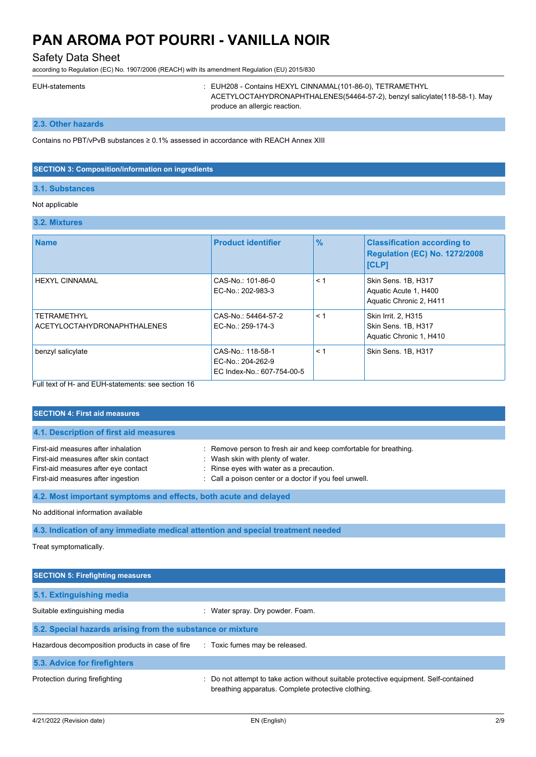Safety Data Sheet

according to Regulation (EC) No. 1907/2006 (REACH) with its amendment Regulation (EU) 2015/830

|  | <b>EUH-statements</b> |  |
|--|-----------------------|--|
|  |                       |  |

: EUH208 - Contains HEXYL CINNAMAL(101-86-0), TETRAMETHYL ACETYLOCTAHYDRONAPHTHALENES(54464-57-2), benzyl salicylate(118-58-1). May produce an allergic reaction.

**2.3. Other hazards**

Contains no PBT/vPvB substances ≥ 0.1% assessed in accordance with REACH Annex XIII

### **SECTION 3: Composition/information on ingredients**

## **3.1. Substances**

## Not applicable

## **3.2. Mixtures**

| <b>Name</b>                                              | <b>Product identifier</b>                                           | $\frac{9}{6}$ | <b>Classification according to</b><br><b>Regulation (EC) No. 1272/2008</b><br><b>[CLP]</b> |
|----------------------------------------------------------|---------------------------------------------------------------------|---------------|--------------------------------------------------------------------------------------------|
| <b>HEXYL CINNAMAL</b>                                    | CAS-No.: 101-86-0<br>EC-No.: 202-983-3                              | < 1           | Skin Sens. 1B, H317<br>Aquatic Acute 1, H400<br>Aquatic Chronic 2, H411                    |
| <b>TETRAMETHYL</b><br><b>ACETYLOCTAHYDRONAPHTHALENES</b> | CAS-No.: 54464-57-2<br>EC-No.: 259-174-3                            | < 1           | Skin Irrit. 2, H315<br>Skin Sens. 1B, H317<br>Aquatic Chronic 1, H410                      |
| benzyl salicylate                                        | CAS-No: 118-58-1<br>EC-No.: 204-262-9<br>EC Index-No.: 607-754-00-5 | < 1           | Skin Sens. 1B, H317                                                                        |

Full text of H- and EUH-statements: see section 16

| <b>SECTION 4: First aid measures</b>                                                                                                                       |                                                                                                                                                                                                             |  |
|------------------------------------------------------------------------------------------------------------------------------------------------------------|-------------------------------------------------------------------------------------------------------------------------------------------------------------------------------------------------------------|--|
| 4.1. Description of first aid measures                                                                                                                     |                                                                                                                                                                                                             |  |
| First-aid measures after inhalation<br>First-aid measures after skin contact<br>First-aid measures after eye contact<br>First-aid measures after ingestion | : Remove person to fresh air and keep comfortable for breathing.<br>: Wash skin with plenty of water.<br>: Rinse eyes with water as a precaution.<br>: Call a poison center or a doctor if you feel unwell. |  |
| 4.2. Most important symptoms and effects, both acute and delayed                                                                                           |                                                                                                                                                                                                             |  |
| No additional information available                                                                                                                        |                                                                                                                                                                                                             |  |

**4.3. Indication of any immediate medical attention and special treatment needed**

Treat symptomatically.

| <b>SECTION 5: Firefighting measures</b>                    |                                                                                                                                             |
|------------------------------------------------------------|---------------------------------------------------------------------------------------------------------------------------------------------|
| 5.1. Extinguishing media                                   |                                                                                                                                             |
| Suitable extinguishing media                               | : Water spray. Dry powder. Foam.                                                                                                            |
| 5.2. Special hazards arising from the substance or mixture |                                                                                                                                             |
| Hazardous decomposition products in case of fire           | : Toxic fumes may be released.                                                                                                              |
| 5.3. Advice for firefighters                               |                                                                                                                                             |
| Protection during firefighting                             | : Do not attempt to take action without suitable protective equipment. Self-contained<br>breathing apparatus. Complete protective clothing. |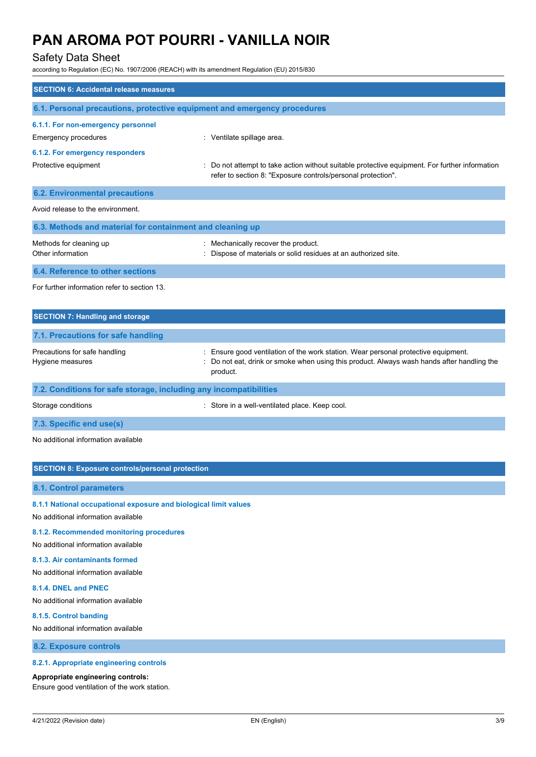## Safety Data Sheet

according to Regulation (EC) No. 1907/2006 (REACH) with its amendment Regulation (EU) 2015/830

| according to inegulation (EO) No. 1907/2000 (NEAOH) With its amendment negulation (EO) 2019/000         |                                                                                                                                                                                            |
|---------------------------------------------------------------------------------------------------------|--------------------------------------------------------------------------------------------------------------------------------------------------------------------------------------------|
| <b>SECTION 6: Accidental release measures</b>                                                           |                                                                                                                                                                                            |
| 6.1. Personal precautions, protective equipment and emergency procedures                                |                                                                                                                                                                                            |
| 6.1.1. For non-emergency personnel<br>Emergency procedures                                              | : Ventilate spillage area.                                                                                                                                                                 |
| 6.1.2. For emergency responders<br>Protective equipment                                                 | : Do not attempt to take action without suitable protective equipment. For further information<br>refer to section 8: "Exposure controls/personal protection".                             |
| <b>6.2. Environmental precautions</b>                                                                   |                                                                                                                                                                                            |
| Avoid release to the environment.                                                                       |                                                                                                                                                                                            |
| 6.3. Methods and material for containment and cleaning up                                               |                                                                                                                                                                                            |
| Methods for cleaning up<br>Other information                                                            | : Mechanically recover the product.<br>Dispose of materials or solid residues at an authorized site.                                                                                       |
| 6.4. Reference to other sections                                                                        |                                                                                                                                                                                            |
| For further information refer to section 13.                                                            |                                                                                                                                                                                            |
| <b>SECTION 7: Handling and storage</b>                                                                  |                                                                                                                                                                                            |
| 7.1. Precautions for safe handling                                                                      |                                                                                                                                                                                            |
| Precautions for safe handling<br>Hygiene measures                                                       | : Ensure good ventilation of the work station. Wear personal protective equipment.<br>Do not eat, drink or smoke when using this product. Always wash hands after handling the<br>product. |
| 7.2. Conditions for safe storage, including any incompatibilities                                       |                                                                                                                                                                                            |
| Storage conditions                                                                                      | : Store in a well-ventilated place. Keep cool.                                                                                                                                             |
| 7.3. Specific end use(s)                                                                                |                                                                                                                                                                                            |
| No additional information available                                                                     |                                                                                                                                                                                            |
| <b>SECTION 8: Exposure controls/personal protection</b>                                                 |                                                                                                                                                                                            |
| <b>8.1. Control parameters</b>                                                                          |                                                                                                                                                                                            |
| 8.1.1 National occupational exposure and biological limit values<br>No additional information available |                                                                                                                                                                                            |
| 8.1.2. Recommended monitoring procedures<br>No additional information available                         |                                                                                                                                                                                            |
| 8.1.3. Air contaminants formed                                                                          |                                                                                                                                                                                            |

No additional information available

#### **8.1.4. DNEL and PNEC**

No additional information available

## **8.1.5. Control banding**

No additional information available

**8.2. Exposure controls**

### **8.2.1. Appropriate engineering controls**

## **Appropriate engineering controls:**

Ensure good ventilation of the work station.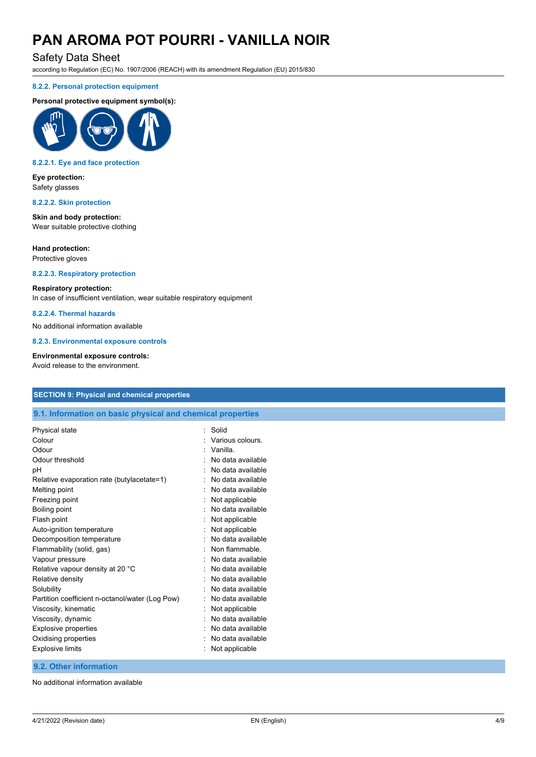## Safety Data Sheet

according to Regulation (EC) No. 1907/2006 (REACH) with its amendment Regulation (EU) 2015/830

### **8.2.2. Personal protection equipment**

### **Personal protective equipment symbol(s):**



#### **8.2.2.1. Eye and face protection**

**Eye protection:** Safety glasses

### **8.2.2.2. Skin protection**

**Skin and body protection:** Wear suitable protective clothing

#### **Hand protection:**

Protective gloves

## **8.2.2.3. Respiratory protection**

#### **Respiratory protection:**

In case of insufficient ventilation, wear suitable respiratory equipment

## **8.2.2.4. Thermal hazards**

No additional information available

**8.2.3. Environmental exposure controls**

#### **Environmental exposure controls:**

Avoid release to the environment.

## **SECTION 9: Physical and chemical properties**

## **9.1. Information on basic physical and chemical properties**

| Solid             |
|-------------------|
| Various colours.  |
| Vanilla.          |
| No data available |
| No data available |
| No data available |
| No data available |
| Not applicable    |
| No data available |
| Not applicable    |
| Not applicable    |
| No data available |
| Non flammable.    |
| No data available |
| No data available |
| No data available |
| No data available |
| No data available |
| Not applicable    |
| No data available |
| No data available |
| No data available |
| Not applicable    |
|                   |

## **9.2. Other information**

No additional information available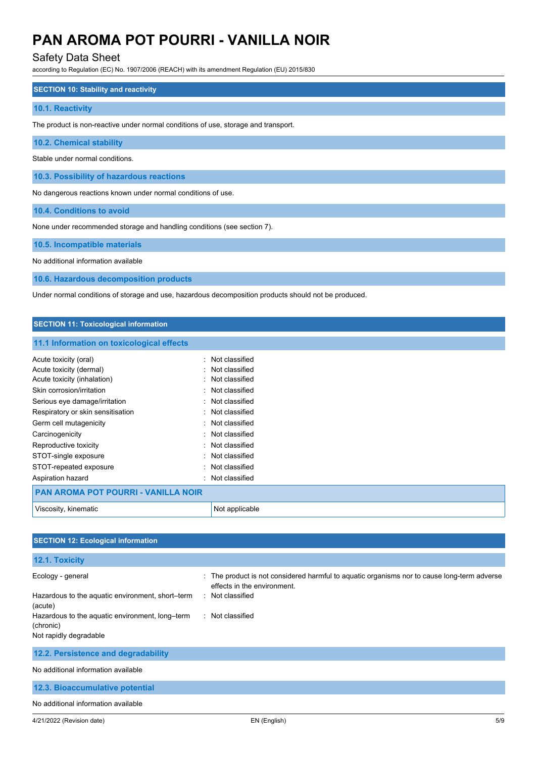## Safety Data Sheet

according to Regulation (EC) No. 1907/2006 (REACH) with its amendment Regulation (EU) 2015/830

## **SECTION 10: Stability and reactivity**

#### **10.1. Reactivity**

The product is non-reactive under normal conditions of use, storage and transport.

**10.2. Chemical stability**

Stable under normal conditions.

**10.3. Possibility of hazardous reactions**

No dangerous reactions known under normal conditions of use.

**10.4. Conditions to avoid**

None under recommended storage and handling conditions (see section 7).

**10.5. Incompatible materials**

No additional information available

**10.6. Hazardous decomposition products**

Under normal conditions of storage and use, hazardous decomposition products should not be produced.

## **SECTION 11: Toxicological information 11.1 Information on toxicological effects** Acute toxicity (oral) **Example 2** Contract 2 Contract 2 Contract 2 Contract 2 Contract 2 Contract 2 Contract 2 Contract 2 Contract 2 Contract 2 Contract 2 Contract 2 Contract 2 Contract 2 Contract 2 Contract 2 Contract 2 C Acute toxicity (dermal) **Example 2** and the classified in the classified Acute toxicity (inhalation) **Example 2** Controller to Mot classified Skin corrosion/irritation in the set of the set of the Skin corrosion/irritation Serious eye damage/irritation **in the serious example of the Serious** : Not classified Respiratory or skin sensitisation **in the sensitism** Not classified Germ cell mutagenicity **Solution Contract Contract Contract Contract Contract Contract Contract Contract Contract Contract Contract Contract Contract Contract Contract Contract Contract Contract Contract Contract Contract** Carcinogenicity **Carcinogenicity Carcinogenicity Carcinogenicity Carcinogenicity** Reproductive toxicity **in the set of the CRI and T** and Reproductive toxicity STOT-single exposure in the state of the state of the STOT-single exposure STOT-repeated exposure in the state of the state of the STOT-repeated exposure Aspiration hazard **in the set of the set of the set of the set of the set of the set of the set of the set of the set of the set of the set of the set of the set of the set of the set of the set of the set of the set of th PAN AROMA POT POURRI - VANILLA NOIR**

| <u>LEAR ARVIVIA LIVELLI VOINNE VARIELA RUIN</u> |              |
|-------------------------------------------------|--------------|
| √iscosity.                                      | Νοι          |
| kinematic                                       | t applicable |

| <b>SECTION 12: Ecological information</b>                    |                                                                                                                            |
|--------------------------------------------------------------|----------------------------------------------------------------------------------------------------------------------------|
| 12.1. Toxicity                                               |                                                                                                                            |
| Ecology - general                                            | : The product is not considered harmful to aquatic organisms nor to cause long-term adverse<br>effects in the environment. |
| Hazardous to the aquatic environment, short-term<br>(acute)  | : Not classified                                                                                                           |
| Hazardous to the aquatic environment, long-term<br>(chronic) | : Not classified                                                                                                           |
| Not rapidly degradable                                       |                                                                                                                            |
| 12.2. Persistence and degradability                          |                                                                                                                            |
| No additional information available                          |                                                                                                                            |
| 12.3. Bioaccumulative potential                              |                                                                                                                            |
| No additional information available                          |                                                                                                                            |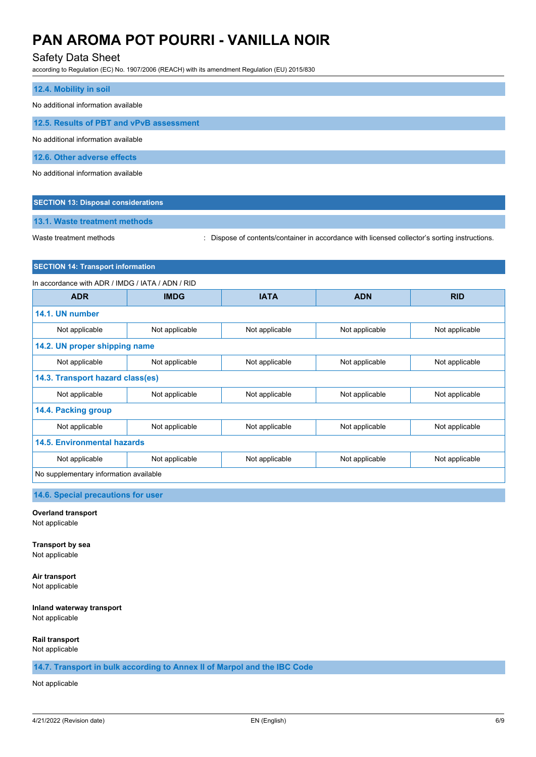## Safety Data Sheet

according to Regulation (EC) No. 1907/2006 (REACH) with its amendment Regulation (EU) 2015/830

| 12.4. Mobility in soil                   |
|------------------------------------------|
| No additional information available      |
| 12.5. Results of PBT and vPvB assessment |
| No additional information available      |
| 12.6. Other adverse effects              |
| No additional information available      |

## **SECTION 13: Disposal considerations**

### **13.1. Waste treatment methods**

Waste treatment methods : Dispose of contents/container in accordance with licensed collector's sorting instructions.

## **SECTION 14: Transport information**

| In accordance with ADR / IMDG / IATA / ADN / RID |                |                |                |                |
|--------------------------------------------------|----------------|----------------|----------------|----------------|
| <b>ADR</b>                                       | <b>IMDG</b>    | <b>IATA</b>    | <b>ADN</b>     | <b>RID</b>     |
| 14.1. UN number                                  |                |                |                |                |
| Not applicable                                   | Not applicable | Not applicable | Not applicable | Not applicable |
| 14.2. UN proper shipping name                    |                |                |                |                |
| Not applicable                                   | Not applicable | Not applicable | Not applicable | Not applicable |
| 14.3. Transport hazard class(es)                 |                |                |                |                |
| Not applicable                                   | Not applicable | Not applicable | Not applicable | Not applicable |
| 14.4. Packing group                              |                |                |                |                |
| Not applicable                                   | Not applicable | Not applicable | Not applicable | Not applicable |
| 14.5. Environmental hazards                      |                |                |                |                |
| Not applicable                                   | Not applicable | Not applicable | Not applicable | Not applicable |
| No supplementary information available           |                |                |                |                |

## **14.6. Special precautions for user**

**Overland transport**

Not applicable

**Transport by sea** Not applicable

**Air transport** Not applicable

#### **Inland waterway transport** Not applicable

#### **Rail transport**

Not applicable

**14.7. Transport in bulk according to Annex II of Marpol and the IBC Code**

## Not applicable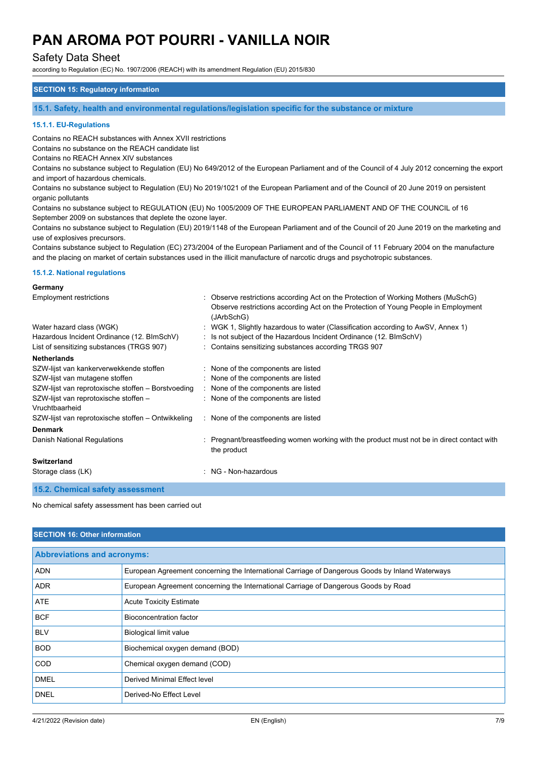## Safety Data Sheet

according to Regulation (EC) No. 1907/2006 (REACH) with its amendment Regulation (EU) 2015/830

## **SECTION 15: Regulatory information**

**15.1. Safety, health and environmental regulations/legislation specific for the substance or mixture**

#### **15.1.1. EU-Regulations**

Contains no REACH substances with Annex XVII restrictions

Contains no substance on the REACH candidate list

Contains no REACH Annex XIV substances

Contains no substance subject to Regulation (EU) No 649/2012 of the European Parliament and of the Council of 4 July 2012 concerning the export and import of hazardous chemicals.

Contains no substance subject to Regulation (EU) No 2019/1021 of the European Parliament and of the Council of 20 June 2019 on persistent organic pollutants

Contains no substance subject to REGULATION (EU) No 1005/2009 OF THE EUROPEAN PARLIAMENT AND OF THE COUNCIL of 16 September 2009 on substances that deplete the ozone layer.

Contains no substance subject to Regulation (EU) 2019/1148 of the European Parliament and of the Council of 20 June 2019 on the marketing and use of explosives precursors.

Contains substance subject to Regulation (EC) 273/2004 of the European Parliament and of the Council of 11 February 2004 on the manufacture and the placing on market of certain substances used in the illicit manufacture of narcotic drugs and psychotropic substances.

#### **15.1.2. National regulations**

#### **Germany**

| Employment restrictions                                 | Observe restrictions according Act on the Protection of Working Mothers (MuSchG)<br>Observe restrictions according Act on the Protection of Young People in Employment<br>(JArbSchG) |
|---------------------------------------------------------|--------------------------------------------------------------------------------------------------------------------------------------------------------------------------------------|
| Water hazard class (WGK)                                | WGK 1, Slightly hazardous to water (Classification according to AwSV, Annex 1)                                                                                                       |
| Hazardous Incident Ordinance (12. BImSchV)              | : Is not subject of the Hazardous Incident Ordinance (12. BImSchV)                                                                                                                   |
| List of sensitizing substances (TRGS 907)               | : Contains sensitizing substances according TRGS 907                                                                                                                                 |
| <b>Netherlands</b>                                      |                                                                                                                                                                                      |
| SZW-lijst van kankerverwekkende stoffen                 | : None of the components are listed                                                                                                                                                  |
| SZW-lijst van mutagene stoffen                          | : None of the components are listed                                                                                                                                                  |
| SZW-lijst van reprotoxische stoffen - Borstvoeding      | None of the components are listed                                                                                                                                                    |
| SZW-lijst van reprotoxische stoffen -<br>Vruchtbaarheid | : None of the components are listed                                                                                                                                                  |
| SZW-lijst van reprotoxische stoffen – Ontwikkeling      | : None of the components are listed                                                                                                                                                  |
| <b>Denmark</b>                                          |                                                                                                                                                                                      |
| Danish National Regulations                             | Pregnant/breastfeeding women working with the product must not be in direct contact with<br>the product                                                                              |
| <b>Switzerland</b>                                      |                                                                                                                                                                                      |
| Storage class (LK)                                      | : NG - Non-hazardous                                                                                                                                                                 |
| 15.2. Chemical safety assessment                        |                                                                                                                                                                                      |

No chemical safety assessment has been carried out

#### **SECTION 16: Other information**

| <b>Abbreviations and acronyms:</b> |                                                                                                 |  |
|------------------------------------|-------------------------------------------------------------------------------------------------|--|
| <b>ADN</b>                         | European Agreement concerning the International Carriage of Dangerous Goods by Inland Waterways |  |
| <b>ADR</b>                         | European Agreement concerning the International Carriage of Dangerous Goods by Road             |  |
| ATE                                | <b>Acute Toxicity Estimate</b>                                                                  |  |
| <b>BCF</b>                         | Bioconcentration factor                                                                         |  |
| <b>BLV</b>                         | <b>Biological limit value</b>                                                                   |  |
| <b>BOD</b>                         | Biochemical oxygen demand (BOD)                                                                 |  |
| <b>COD</b>                         | Chemical oxygen demand (COD)                                                                    |  |
| <b>DMEL</b>                        | Derived Minimal Effect level                                                                    |  |
| <b>DNEL</b>                        | Derived-No Effect Level                                                                         |  |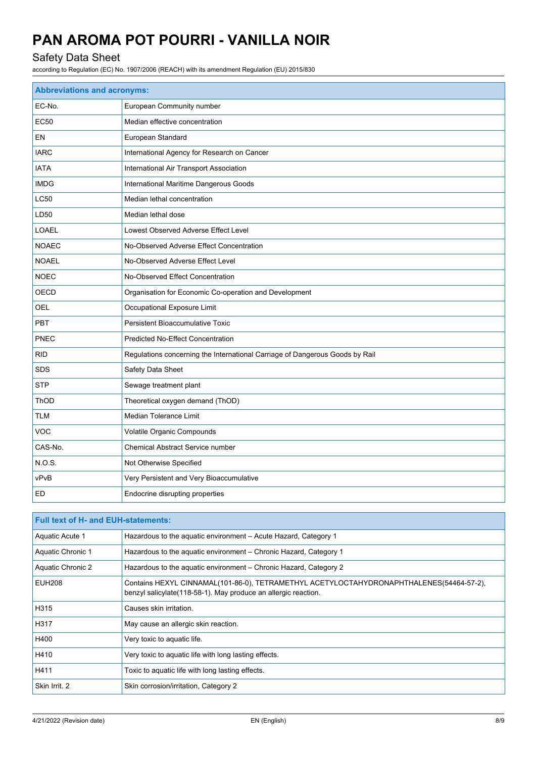## Safety Data Sheet

according to Regulation (EC) No. 1907/2006 (REACH) with its amendment Regulation (EU) 2015/830

| <b>Abbreviations and acronyms:</b> |                                                                              |  |  |
|------------------------------------|------------------------------------------------------------------------------|--|--|
| EC-No.                             | European Community number                                                    |  |  |
| <b>EC50</b>                        | Median effective concentration                                               |  |  |
| EN                                 | European Standard                                                            |  |  |
| <b>IARC</b>                        | International Agency for Research on Cancer                                  |  |  |
| <b>IATA</b>                        | International Air Transport Association                                      |  |  |
| <b>IMDG</b>                        | International Maritime Dangerous Goods                                       |  |  |
| LC50                               | Median lethal concentration                                                  |  |  |
| LD50                               | Median lethal dose                                                           |  |  |
| LOAEL                              | Lowest Observed Adverse Effect Level                                         |  |  |
| <b>NOAEC</b>                       | No-Observed Adverse Effect Concentration                                     |  |  |
| <b>NOAEL</b>                       | No-Observed Adverse Effect Level                                             |  |  |
| <b>NOEC</b>                        | No-Observed Effect Concentration                                             |  |  |
| OECD                               | Organisation for Economic Co-operation and Development                       |  |  |
| OEL                                | Occupational Exposure Limit                                                  |  |  |
| PBT                                | Persistent Bioaccumulative Toxic                                             |  |  |
| PNEC                               | Predicted No-Effect Concentration                                            |  |  |
| <b>RID</b>                         | Regulations concerning the International Carriage of Dangerous Goods by Rail |  |  |
| <b>SDS</b>                         | Safety Data Sheet                                                            |  |  |
| <b>STP</b>                         | Sewage treatment plant                                                       |  |  |
| ThOD                               | Theoretical oxygen demand (ThOD)                                             |  |  |
| <b>TLM</b>                         | <b>Median Tolerance Limit</b>                                                |  |  |
| <b>VOC</b>                         | Volatile Organic Compounds                                                   |  |  |
| CAS-No.                            | <b>Chemical Abstract Service number</b>                                      |  |  |
| <b>N.O.S.</b>                      | Not Otherwise Specified                                                      |  |  |
| vPvB                               | Very Persistent and Very Bioaccumulative                                     |  |  |
| ED                                 | Endocrine disrupting properties                                              |  |  |

| <b>Full text of H- and EUH-statements:</b> |                                                                                                                                                            |  |  |
|--------------------------------------------|------------------------------------------------------------------------------------------------------------------------------------------------------------|--|--|
| Aquatic Acute 1                            | Hazardous to the aguatic environment – Acute Hazard, Category 1                                                                                            |  |  |
| Aquatic Chronic 1                          | Hazardous to the aquatic environment – Chronic Hazard, Category 1                                                                                          |  |  |
| Aquatic Chronic 2                          | Hazardous to the aquatic environment – Chronic Hazard, Category 2                                                                                          |  |  |
| <b>EUH208</b>                              | Contains HEXYL CINNAMAL(101-86-0), TETRAMETHYL ACETYLOCTAHYDRONAPHTHALENES(54464-57-2),<br>benzyl salicylate (118-58-1). May produce an allergic reaction. |  |  |
| H315                                       | Causes skin irritation.                                                                                                                                    |  |  |
| H317                                       | May cause an allergic skin reaction.                                                                                                                       |  |  |
| H400                                       | Very toxic to aquatic life.                                                                                                                                |  |  |
| H410                                       | Very toxic to aquatic life with long lasting effects.                                                                                                      |  |  |
| H411                                       | Toxic to aquatic life with long lasting effects.                                                                                                           |  |  |
| Skin Irrit. 2                              | Skin corrosion/irritation, Category 2                                                                                                                      |  |  |